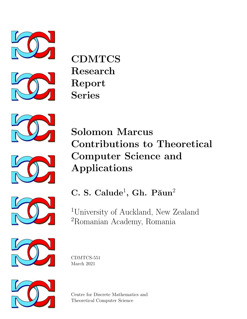



**CDMTCS** Research Report Series





Solomon Marcus Contributions to Theoretical Computer Science and Applications

C. S. Calude<sup>1</sup>, Gh. Păun<sup>2</sup>

<sup>1</sup>University of Auckland, New Zealand <sup>2</sup>Romanian Academy, Romania







Centre for Discrete Mathematics and Theoretical Computer Science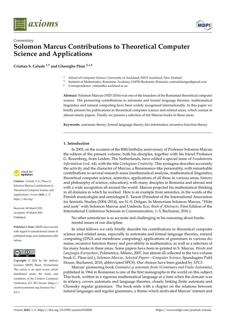



# *Commentary* **Solomon Marcus Contributions to Theoretical Computer Science and Applications**

**Cristian S. Calude** <sup>1,†</sup> and Gheorghe Păun<sup>2,\*,†</sup>

- <sup>1</sup> School of Computer Science, University of Auckland, 92019 Auckland, New Zealand<br><sup>2</sup> Institute of Mathematics, Romanian Academy, 014700 Bucharest, Romania: curteadel
- <sup>2</sup> Institute of Mathematics, Romanian Academy, 014700 Bucharest, Romania; curteadelaarges@gmail.com
- **\*** Correspondence: cristian@cs.auckland.ac.nz

**Abstract:** Solomon Marcus (1925–2016) was one of the founders of the Romanian theoretical computer science. His pioneering contributions to automata and formal language theories, mathematical linguistics and natural computing have been widely recognised internationally. In this paper we briefly present his publications in theoretical computer science and related areas, which consist in almost ninety papers. Finally we present a selection of ten Marcus books in these areas.

**Keywords:** automata theory; formal language theory; bio-informatics; recursive function theory

# **1. Introduction**

In 2005, on the occasion of the 80th birthday anniversary of Professor Solomon Marcus, the editors of the present volume, both his disciples, together with his friend Professor G. Rozenberg, from Leiden, The Netherlands, have edited a special issue of *Fundamenta Informaticae* (vol. 64), with the title *Contagious Creativity*. This syntagma describes accurately the activity and the character of Marcus, a Renaissance-like personality, with remarkable contributions to several research areas (mathematical analysis, mathematical linguistics, theoretical computer science, semiotics, applications of all these in various areas, history and philosophy of science, education), with many disciples in Romania and abroad and with a wide recognition all around the world. Marcus projected his mathematical thinking in all domains in which he worked. Here is an example from semiotics, in the words of the Finnish musicologist and semiologist E. Tarasti (President of the International Association for Semiotic Studies (2004–2014), see N.-S. Drăgan, In Memoriam Solomon Marcus, "Hide and seek" with Solomon Marcus and Umberto Eco, *Book of Abstracts*, First Edition of the International Conference Semiosis in Communication, 1–3, Bucharest, 2016.):

No other semiotician is so accurate and challenging in his reasoning about fundamental issues of our discipline.

In what follows we only briefly describe his contributions to theoretical computer science and related areas, especially to automata and formal language theories, natural computing (DNA and membrane computing), applications of grammars in various domains, recursive function theory and provability in mathematics, as well as a selection of his many books in these areas. Some papers have been re-printed in S. Marcus, *Words and Languages Everywhere*, Polimetrica, Milano, 2007, but almost all collected in the two-volume book G. P˘aun (ed.), *Solomon Marcus, Selected Papers—Computer Science*, Spandugino Publ. House, Bucharest, 2018, abbreviated SPCS). Our choices have been guided by *SPCS*.

Marcus' pioneering book *Gramatici și automate finite (Grammars and Finite Automata)*, published in 1964 in Romanian is one of the first monographs in the world on this subject. This book, written in a rigorous mathematical language at a time when the domain was in infancy, covers automata and language theories, closely linking finite automata and Chomsky regular grammars. The book ends with a chapter on the relations between natural languages and regular grammars, a theme which motivated Marcus' interest and



Citation: Calude, C.S.; Păun, G. Solomon Marcus Contributions to Theoretical Computer Science and Applications. *Axioms* **2021**, *1*, 0. [https://doi.org/](https://doi.org/10.3390/axioms1010000)

Received: 04 March 2021 Accepted: 30 March 2021 Published:

**Publisher's Note:** MDPI stays neutral with regard to jurisdictional claims in published maps and institutional affiliations.



**Copyright:** © 2021 by the authors. Licensee MDPI, Basel, Switzerland. This article is an open access article distributed under the terms and conditions of the Creative Commons Attribution (CC BY) license (https:/[/](https://creativecommons.org/licenses/by/4.0/) [creativecommons.org/licenses/by/](https://creativecommons.org/licenses/by/4.0/)  $4.0/$ ).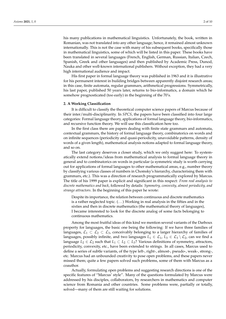his many publications in mathematical linguistics. Unfortunately, the book, written in Romanian, was not translated into any other language; hence, it remained almost unknown internationally. This is not the case with many of his subsequent books, specifically those in mathematical linguistics, some of which will be listed in this paper. These books have been translated in several languages (French, English, German, Russian, Italian, Czech, Spanish, Greek and other languages) and then published by Academic Press, Dunod, Nauka and other well-known international publishers. Without exception, they had a very high international audience and impact.

His first paper in formal language theory was published in 1963 and it is illustrative for his permanent interest in building bridges between apparently disjoint research areas; in this case, finite automata, regular grammars, arithmetical progressions. Symmetrically, his last paper, published 50 years later, returns to bio-informatics, a domain which he somehow prognosticated (too early) in the beginning of the 70's.

#### **2. A Working Classification**

It is difficult to classify the theoretical computer science papers of Marcus because of their inter/multi-disciplinarity. In *SPCS*, the papers have been classified into four large categories: Formal language theory, applications of formal language theory, bio-informatics, and recursive function theory. We will use this classification here too.

In the first class there are papers dealing with finite state grammars and automata, contextual grammars, the history of formal language theory, combinatorics on words and on infinite sequences (periodicity and quasi-periodicity, unavoidable patterns, density of words of a given length), mathematical analysis notions adapted to formal language theory, and so on.

The last category deserves a closer study, which we only suggest here: To systematically extend notions/ideas from mathematical analysis to formal language theory in general and to combinatorics on words in particular (a symmetric study is worth carrying out for applications of formal languages to other mathematical areas, e.g., number theory by classifying various classes of numbers in Chomsky's hierarchy, characterising them with grammars, etc.). This was a direction of research programmatically explored by Marcus. The title of his 1999 paper is explicit and significant in this respect: *From real analysis to discrete mathematics and back*, followed by details: *Symmetry, convexity, almost periodicity, and strange attractors*. In the beginning of this paper he wrote:

Despite its importance, the relation between continuous and discrete mathematics is a rather neglected topic. (. . . ) Working in real analysis in the fifties and in the sixties and then in discrete mathematics (the mathematical theory of languages), I became interested to look for the discrete analog of some facts belonging to continuous mathematics.

Among the most fruitful ideas of this kind we mention several variants of the Darboux property for languages, the basic one being the following: If we have three families of languages,  $\mathcal{L}_1 \subset \mathcal{L}_2 \subset \mathcal{L}_3$ , conceivably belonging to a larger hierarchy of families of languages, possibly infinite, and two languages  $L_1 \in \mathcal{L}_1$ ,  $L_3 \in \mathcal{L}_3 \setminus \mathcal{L}_2$ , can we find a language  $L_2 \in \mathcal{L}_2$  such that  $L_1 \subset L_2 \subset L_3$ ? Various definitions of symmetry, attractors, periodicity, convexity, etc., have been extended to strings. In all cases, Marcus used to define a series of subtle variants, of the type left-, right-, almost-, pseudo-, weak-, strong-, etc. Marcus had an unbounded creativity to pose open problems, and these papers never missed them; quite a few papers solved such problems, some of them with Marcus as a coauthor.

Actually, formulating open problems and suggesting research directions is one of the specific features of "Marcus' style". Many of the questions formulated by Marcus were addressed by his disciples, collaborators, by researchers in mathematics and computer science from Romania and other countries. Some problems were, partially or totally, solved—many of them are still waiting for solutions.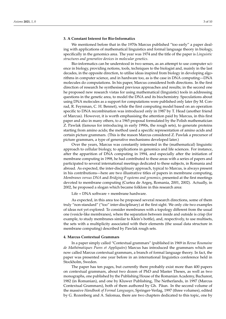# **3. A Constant Interest for Bio-Informatics**

We mentioned before that in the 1970s Marcus published "too early" a paper dealing with applications of mathematical linguistics and formal language theory in biology, specifically in the genomics area. The year was 1974 and the title of the paper is *Linguistic structures and generative devices in molecular genetics*.

Bio-informatics can be understood in two senses, as an attempt to use computer science in biology, providing notions, tools, techniques to the biologist and, mainly in the last decades, in the opposite direction, to utilise ideas inspired from biology in developing algorithms in computer science, and in hardware too, as is the case in DNA computing—DNA molecules do computations. In his paper, Marcus considered both directions. In the first direction of research he synthesised previous approaches and results; in the second one he proposed new research vistas for using mathematical (linguistic) tools in addressing questions in the genetic area, to model the DNA and its biochemistry. Speculations about using DNA molecules as a support for computations were published only later (by M. Conrad, R. Feynman, C. H. Bennet), while the first computing model based on an operation specific to DNA recombination was introduced only in 1987 by T. Head (another friend of Marcus). However, it is worth emphasising the attention paid by Marcus, in this first paper and also in many others, to a 1965 proposal formulated by the Polish mathematician Z. Pawlak (famous for introducing in early 1990s, the rough sets), to generate proteins starting from amino acids; the method used a specific representation of amino acids and certain picture grammars. (This is the reason Marcus considered Z. Pawlak a precursor of picture grammars, a type of generative mechanisms developed later.)

Over the years, Marcus was constantly interested in the (mathematical) linguistic approach to cellular biology, to applications in genomics and life sciences. For instance, after the apparition of DNA computing in 1994, and especially after the initiation of membrane computing in 1998, he had contributed to these areas with a series of papers and participated to several international meetings dedicated to these subjects, in Romania and abroad. As expected, the inter-disciplinary approach, typical to Marcus, is always present in his contributions—here are two illustrative titles of papers in membrane computing, *Membranes versus DNA* and *Bridging P systems and genomics*, presented at the first meetings devoted to membrane computing (Curtea de Arges, Romania, 2001, 2002). Actually, in 2002, he proposed a slogan which became folklore in this research area:

Life = DNA software + membrane hardware.

As expected, in this area too he proposed several research directions, some of them truly "non-standard" ("too" inter-disciplinary) at the first sight. We only cite two examples of ideas not yet explored: To consider membranes with a topology different from the usual one (vesicle-like membranes), where the separation between inside and outside is crisp (for example, to study membranes similar to Klein's bottle), and, respectively, to use multisets, the sets with a multiplicity associated with their elements (the usual data structure in membrane computing) described by Pawlak rough sets.

#### **4. Marcus Contextual Grammars**

In a paper simply called "Contextual grammars" (published in 1969 in *Revue Roumaine de Mathématiques Pures et Appliquées*) Marcus has introduced the grammars which are now called Marcus contextual grammars, a branch of formal language theory. In fact, the paper was presented one year before in an international linguistics conference held in Stockholm, Sweden.

The paper has ten pages, but currently there probably exist more than 400 papers on contextual grammars, about two dozen of PhD and Master Theses, as well as two monographs, one published by the Publishing House of the Romanian Academy, Bucharest, 1982 (in Romanian), and one by Kluwer Publishing, The Netherlands, in 1997 (Marcus Contextual Grammars), both of them authored by Gh. Păun. In the second volume of the massive *Handbook of Formal Languages*, Springer-Verlag, 1997 (three volumes), edited by G. Rozenberg and A. Salomaa, there are two chapters dedicated to this topic, one by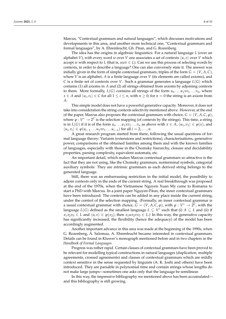Marcus, "Contextual grammars and natural languages", which discusses motivations and developments in this area, and another more technical one, "Contextual grammars and formal languages", by A. Ehrenfeucht, Gh. Păun, and G. Rozenberg.

The idea has the origins in algebraic linguistics: For a natural language *L* (over an alphabet *V*), with every word *w* over *V* one associates a set of contexts  $\langle u, v \rangle$  over *V* which accept *w* with respect to *L* (that is,  $uvw \in L$ ). Can we use this process of selecting words by contexts, in order to describe a language? One can also conversely state it. The answer was initially given in the form of simple contextual grammars, triples of the form  $G = (V, A, C)$ , where *V* is an alphabet, *A* is a finite language over *V* (its elements are called axioms), and *C* is a finite set of contexts over *V*. Such a grammar generates a language *L*(*G*) which contains (1) all axioms in *A* and (2) all strings obtained from axioms by adjoining contexts to them. More formally,  $L(G)$  contains all strings of the form  $u_n \dots u_1 x v_1 \dots v_n$ , where  $x \in A$  and  $\langle u_i, v_i \rangle \in C$  for all  $1 \le i \le n$ , with  $n \ge 0$ ; for  $n = 0$  the string is an axiom from *A*.

This simple model does not have a powerful generative capacity. Moreover, it does not take into consideration the string-contexts selectivity mentioned above. However, at the end of the paper, Marcus also proposes the contextual grammars with choice,  $G = (V, A, C, \varphi)$ , where  $\varphi : V^* \to 2^C$  is the selection mapping (of contexts by the strings). This time, a string is in  $L(G)$  if it is of the form  $u_n \dots u_1 x v_1 \dots v_n$  as above with  $x \in A$ ,  $\langle u_1, v_1 \rangle \in \varphi(x)$ , and  $\langle u_i, v_i \rangle \in \varphi(u_{i-1} \dots u_1 x v_1 \dots u_{i-1})$  for all  $i = 2, \dots, n$ .

A great research program started from there, following the usual questions of formal language theory: Variants (extensions and restrictions), characterisations, generative power, comparisons of the obtained families among them and with the known families of languages, especially with those in the Chomsky hierarchy, closure and decidability properties, parsing complexity, equivalent automata, etc.

An important detail, which makes Marcus contextual grammars so attractive is the fact that they are not using, like the Chomsky grammars, nonterminal symbols, categorial auxiliary symbols: They are intrinsic grammars as each derived string belongs to the generated language.

Still, there was an embarrassing restriction in the initial model, the possibility to adjoin contexts only in the ends of the current string. A real breakthrough was proposed at the end of the 1970s, when the Vietnamese Nguyen Xuan My came to Romania to start a PhD with Marcus. In a joint paper Nguyen-Păun, the inner contextual grammars have been introduced: The contexts can be added in any place inside the current string, under the control of the selection mapping. (Formally, an inner contextual grammar is a usual contextual grammar with choice,  $G = (V, A, C, \varphi)$ , with  $\varphi : V^* \to 2^C$ , with the language  $L(G)$  defined as the smallest language  $L \subseteq V^*$  such that (i)  $A \subseteq L$  and (ii) if  $x_1x_2x_3 \in L$  and  $\langle u, v \rangle \in \varphi(x_2)$ , then  $x_1ux_2vx_3 \in L$ .) In this way, the generative capacity has significantly increased, the flexibility (hence the adequacy) of the model has been accordingly augmented.

Another important advance in this area was made at the beginning of the 1990s, when G. Rozenberg, A. Salomaa, A. Ehrenfeucht became interested in contextual grammars. Details can be found in Kluwer's monograph mentioned before and in two chapters in the *Handbook of Formal Languages*.

Progress was rather rapid. Certain classes of contextual grammars have been proved to be relevant for modelling typical constructions in natural languages (duplication, multiple agreements, crossed agreements) and classes of contextual grammars which are mildly context sensitive in the sense requested by linguists (A. K. Joshi and others) have been introduced. They are parsable in polynomial time and contain strings whose lengths do not make large jumps—sometimes one asks only that the language be semilinear.

In this way, the impressive bibliography we mentioned above has been accumulated and this bibliography is still growing.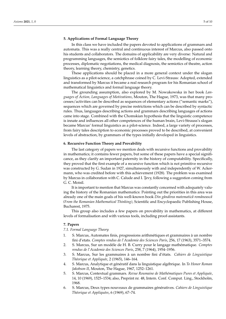# **5. Applications of Formal Language Theory**

In this class we have included the papers devoted to applications of grammars and automata. This was a really central and continuous interest of Marcus, also passed onto his students and collaborators. The domains of applicability are very diverse: Natural and programming languages, the semiotics of folklore fairy tales, the modelling of economic processes, diplomatic negotiations, the medical diagnosis, the semiotics of theatre, action theory, learning theory, chemistry, genetics.

These applications should be placed in a more general context under the slogan linguistics as a pilot-science, a catchphrase coined by C. Levi-Strauss: Adopted, extended and transformed by Marcus it became a real research program for his Romanian school of mathematical linguistics and formal language theory.

The grounding assumption, also explored by M. Nowakowska in her book *Languages of Action, Languages of Motivations*, Mouton, The Hague, 1973, was that many processes/activities can be described as sequences of elementary actions ("semantic marks"), sequences which are governed by precise restrictions which can be described by syntactic rules. Thus, languages describing actions and grammars describing languages of actions came into stage. Combined with the Chomskian hypothesis that the linguistic competence is innate and influences all other competences of the human brain, Levi-Strauss's slogan became Marcus' formal linguistics as a pilot-science. Indeed, a large variety of processes, from fairy tales description to economic processes proved to be described, at convenient levels of abstraction, by grammars of the types initially developed in linguistics.

#### **6. Recursive Function Theory and Provability**

The last category of papers we mention deals with recursive functions and provability in mathematics; it contains fewer papers, but some of these papers have a special significance, as they clarify an important paternity in the history of computability. Specifically, they proved that the first example of a recursive function which is not primitive recursive was constructed by G. Sudan in 1927, simultaneously with and independently of W. Ackermann, who was credited before with this achievement (1928). The problem was examined by Marcus in collaboration with C. Calude and I. Tevy, following a suggestion coming from G. C. Moisil.

It is important to mention that Marcus was constantly concerned with adequately valuing the history of the Romanian mathematics: Pointing out the priorities in this area was already one of the main goals of his well-known book *Din gândirea matematică românească (From the Romanian Mathematical Thinking)*, Scientific and Encyclopaedic Publishing House, Bucharest, 1975.

This group also includes a few papers on provability in mathematics, at different levels of formalisation and with various tools, including proof-assistants.

#### **7. Papers**

# *7.1. Formal Language Theory*

- 1. S. Marcus, Automates finis, progressions arithmétiques et grammaires à un nombre fini d'etats. *Comptes rendus de l'Academie des Sciences Paris*, 256, 17 (1963), 3571–3574.
- 2. S. Marcus, Sur un modéle de H. B. Curry pour le langage mathématique. *Comptes rendus de l'Academie des Sciences Paris*, 258, 7 (1964), 1954–1956.
- 3. S. Marcus, Sur les grammaires à un nombre fini d'états. *Cahiers de Linguistique Théorique et Appliquée*, 2 (1965), 146–164.
- 4. S. Marcus, Analytique et génératif dans la linguistique algébrique. In *To Honor Roman Jakobson II*, Mouton, The Hague, 1967, 1252–1261.
- 5. S. Marcus, Contextual grammars. *Revue Roumaine de Mathématiques Pures et Appliquée*, 14, 10 (1969), 1525–1534; also, Preprint nr. 48, Intern. Conf. Comput. Ling., Stockholm, 1968.
- 6. S. Marcus, Deux types nouveaux de grammaires génératives. *Cahiers de Linguistique Théorique et Appliquées*, 6 (1969), 67–74.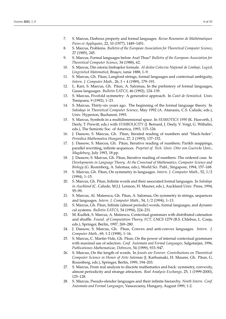- 7. S. Marcus, Darboux property and formal languages. *Revue Roumaine de Mathématiques Pures et Appliquées*, 22, 10 (1977), 1449–1451.
- 8. S. Marcus, Problems. *Bulletin of the European Association for Theoretical Computer Science*, 27 (1985), 245.
- 9. S. Marcus, Formal languages before Axel Thue? *Bulletin of the European Association for Theoretical Computer Science*, 34 (1988), 62.
- 10. S. Marcus, Din istoria limbajelor formale. Al doilea Colocviu Național de Limbaje, Logică, Lingvistică Matematică, Brașov, iunie 1888, 1-9.
- 11. S. Marcus, Gh. Păun, Langford strings, formal languages and contextual ambiguity, *Intern. J. Computer Math.*, 26, 3 + 4 (1989), 179–191.
- 12. L. Kari, S. Marcus, Gh. Păun, A. Salomaa, In the prehistory of formal languages, Gauss languages. *Bulletin EATCS*, 46 (1992), 124–139.
- 13. S. Marcus, Fivefold symmetry: A generative approach. In *Caiet de Semiotică*. Univ. Timișoara, 9 (1992), 1–23.
- 14. S. Marcus, Thirty-six years ago. The beginning of the formal language theory. In *Salodays in Theoretical Computer Science*, May 1992 (A. Atanasiu, C.S. Calude, eds.), Univ. Hyperion, Bucharest, 1993.
- 15. S. Marcus, Symbols in a multidimensional space. In *SEMIOTICS 1990* (K. Haworth, J. Deely, T. Prewitt, eds.) with *SYMBOLICITY* (J. Bernard, J. Deely, V. Voigt, G. Withalm, eds.), The Semiotic Soc. of America, 1993, 115–126.
- 16. J. Dassow, S. Marcus, Gh. Păun, Iterated reading of numbers and "black-holes". *Periodica Mathematica Hungarica*, 27, 2 (1993), 137–152.
- 17. J. Dassow, S. Marcus, Gh. Păun, Iterative reading of numbers; Parikh mappings, parallel rewriting, infinite sequences. *Preprint of. Tech. Univ. Otto von Guericke Univ., Magdeburg*, July 1993, 18 pp.
- 18. J. Dassow, S. Marcus, Gh. Păun, Iterative reading of numbers: The ordered case. In *Developments in Language Theory. At the Crossroad of Mathematics, Computer Science and Biology* (G. Rozenberg, A. Salomaa, eds.), World Sci. Publ., Singapore, 1994, 157–168.
- 19. S. Marcus, Gh. P˘aun, On symmetry in languages. *Intern. J. Computer Math.*, 52, 1/2 (1994), 1–15.
- 20. S. Marcus, Gh. Păun, Infinite words and their associated formal languages. In *Salodays in Auckland* (C. Calude, M.J.J. Lennon, H. Maurer, eds.), Auckland Univ. Press, 1994, 95–99.
- 21. S. Marcus, Al. Mateescu, Gh. Păun, A. Salomaa, On symmetry in strings, sequences and languages. *Intern. J. Computer Math.*, 54, 1/2 (1994), 1–13.
- 22. S. Marcus, Gh. Păun, Infinite (almost periodic) words, formal languages, and dynamical systems. *Bulletin EATCS*, 54 (1994), 224–231.
- 23. M. Kudlek, S. Marcus, A. Mateescu, Contextual grammars with distributed catenation and shuffle. *Found. of Computation Theory, FCT*, LNCS 1279 (B.S. Chlebus, L. Czeja, eds.), Springer, Berlin, 1997, 269–280.
- 24. J. Dassow, S. Marcus, Gh. Păun, Convex and anti-convex languages. *Intern.* J. *Computer Math.*, 69, 1-2 (1998), 1–16.
- 25. S. Marcus, C. Martin-Vide, Gh. Păun, On the power of internal contextual grammars with maximal use of selectors. *Conf. Automata and Formal Languages*, Salgotarjan, 1996, *Publicationes Mathematicae, Debrecen*, 54 (1999), 933–947.
- 26. S. Marcus, On the length of words. In *Jewels are Forever. Contributions on Theoretical Computer Science in Honor of Arto Salomaa* (J. Karhumaki, H. Maurer, Gh. P˘aun, G. Rozenberg, eds.), Springer, Berlin, 1999, 194–203.
- 27. S. Marcus, From real analysis to discrete mathematics and back: symmetry, convexity, almost periodicity and strange attractors. *Real Analysis Exchange*, 25, 1 (1999-2000), 125–128.
- 28. S. Marcus, Pseudo-slender languages and their infinite hierarchy. *Ninth Intern. Conf. Automata and Formal Languages*, Vasscecseny, Hungary, August 1999, 1-2.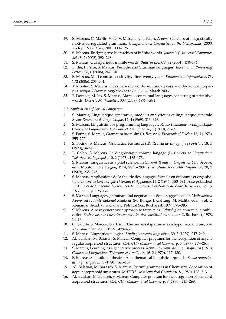- 29. S. Marcus, C. Martin-Vide, V. Mitrana, Gh. Păun, A new–old class of linguistically motivated regulated grammars. *Computational Linguistics in the Netherlands, 2000*, Rodopi, New York, 2001, 111–125.
- 30. S. Marcus, Bridging two hierarchies of infinite words. *Journal of Universal Computer Sci.*, 8, 2 (2002), 292–296.
- 31. S. Marcus, Quasiperiodic infinite words. *Bulletin EATCS*, 82 (2004), 170–174.
- 32. L. Ilie, I. Petre, S. Marcus, Periodic and Sturmian languages. *Information Processing Letters*, 98, 6 (2006), 242–246.
- 33. S. Marcus, Mild context-sensitivity, after twenty years. *Fundamenta Informaticae*, 73, 1/2 (2006), 203–204.
- 34. T. Monteil, S. Marcus, Quasiperiodic words: multi-scale case and dynamical properties. https://arxiv.org/abs/math/0603354, March 2006.
- 35. P. Dömösi, M. Ito, S. Marcus, Marcus contextual languages consisting of primitive words. *Discrete Mathematics*, 308 (2008), 4877–4881.

#### *7.2. Applications of Formal Languages*

- 1. S. Marcus, Linguistique générative, modèles analytiques et linguistique générale. *Revue Roumaine de Linguistique*, 14, 4 (1969), 313–326.
- 2. S. Marcus, Linguistics for programming languages. *Revue Roumaine de Linguistique. Cahiers de Linguistique Théorique et Appliquée*, 16, 1 (1970), 29–39.
- 3. S. Fotino, S. Marcus, Gramatica basmului (I). *Revista de Etnografie ¸si Folclor*, 18, 4 (1973), 255–277.
- 4. S. Fotino, S. Marcus, Gramatica basmului (II). *Revista de Etnografie ¸si Folclor*, 18, 5 (1973), 349–363.
- 5. E. Celan, S. Marcus, Le diagnostique comme langage (I). *Cahiers de Linguistique Théorique et Appliquée*, 10, 2 (1973), 163–173.
- 6. S. Marcus, Linguistics as a pilot science. In *Current Trends in Linguistics* (Th. Sebeok, ed.), Mouton, The Hague, 1974, 2871-2887, și în Studii și cercetări lingvistice, 20, 3 (1969), 235–245.
- 7. S. Marcus, Applications de la théorie des langages formels en économie et organisation, *Cahiers de Linguistique Théorique et Appliquée*, 13, 2 (1976), 583–594. Also published in *Annales de la Faculté des sciences de l'Université Nationale de Zaïre*, Kinshasa, vol. 3, 1977, nr. 1, p. 125–147
- 8. S. Marcus, Languages, grammars and negotiations. Some suggestions. In *Mathematical Approaches to International Relations* (M. Bunge, J. Galtung, M. Maliţa, eds.), vol. 2, Romanian Acad. of Social and Political Sci., Bucharest, 1977, 378–385.
- 9. S. Marcus, A new generative approach to fairy-tales. *Ethnologica*, annexe á la publication *Recherches sur l'histoire comparative des constitutions et du droit*, Bucharest, 1978, 14–17.
- 10. C. Calude, S. Marcus, Gh. Păun, The universal grammar as a hypothetical brain, *Rev. Roumaine Ling.* 25, 5 (1979), 479–489.
- 11. S. Marcus, Lingvistica și logica. *Studii și cercetări lingvistice*, 30, 3 (1979), 247-249.
- 12. Al. Balaban, M. Barasch, S. Marcus, Computer programs for the recognition of acyclic regular isoprenoid structures. *MATCH - Mathematical Chemistry*, 5 (1979), 239–261.
- 13. S. Marcus, Learning, as a generative process. *Revue Roumaine de Linguistique*, 24 (1979), *Cahiers de Linguistique Théorique et Appliquée*, 16, 2 (1979), 117–130.
- 14. S. Marcus, Semiotics of theatre: A mathematical linguistic approach, *Revue roumaine de linguistique*, 25, 3 (1980), 161–189.
- 15. Al. Balaban, M. Barasch, S. Marcus, Picture grammars in Chemistry. Generation of acyclic isoprenoid structures. *MATCH - Mathematical Chemistry*, 8 (1980), 193–213.
- 16. Al. Balaban, M. Barasch, S. Marcus, Computer program for the recognition of standard isoprenoid structures. *MATCH - Mathematical Chemistry*, 8 (1980), 215–268.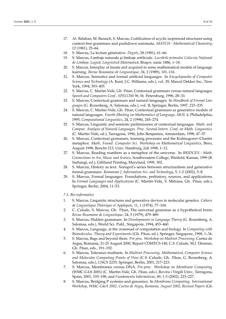- 17. Al. Balaban, M. Barasch, S. Marcus, Codification of acyclic isoprenoid structures using context-free grammars and pushdown automata. *MATCH - Mathematical Chemistry*, 12 (1981), 25–64.
- 18. S. Marcus, La lecture générative. *Degrés*, 28 (1981), 61–66.
- 19. S. Marcus, Limbaje naturale și limbaje artificiale. *Lucrările primului Colocviu Național de Limbaje, Logic˘a, Lingvistic˘a Matematic˘a*, Bra¸sov, iunie 1886, 1–18.
- 20. S. Marcus, Interplay of innate and acquired in some mathematical models of language learning. *Revue Roumaine de Linguistique*, 34, 2 (1989), 101–116.
- 21. S. Marcus, Semiotics and formal artificial languages. In *Encyclopaedia of Computer Science and Technology* (A. Kent, J.G. Williams, eds.), vol. 29, Marcel Dekker Inc., New York, 1994, 393–405.
- 22. S. Marcus, C. Martin-Vide, Gh. Păun, Contextual grammars versus natural languages. *Speech and Computers Conf., SPECOM 96*, St. Petersburg, 1996, 28–33.
- 23. S. Marcus, Contextual grammars and natural languages. In *Handbook of Formal Languages* (G. Rozenberg, A. Salomaa, eds.), vol. II, Springer, Berlin, 1997, 215–235.
- 24. S. Marcus, C. Martin-Vide, Gh. Păun, Contextual grammars as generative models of natural languages. *Fourth Meeting on Mathematics of Language, MOL 4*, Philadelphia, 1995, *Computational Linguistics*, 24, 2 (1998), 245–274.
- 25. S. Marcus, Linguistic and semiotic preliminaries of contextual languages. *Math. and Comput. Analysis of Natural Languages. Proc. Second Intern. Conf. on Math. Linguistics* (C. Martin-Vide, ed.), Tarragona, 1996, John Benjamins, Amsterdam, 1998, 47–57.
- 26. S. Marcus, Contextual grammars, learning processes and the Kolmogorov-Chaitin metaphor. *Math. Found. Computer Sci. Workshop on Mathematical Linguistics*, Brno, August 1998, Bericht 213, Univ. Hamburg, Juli 1998, 1–12.
- 27. S. Marcus, Reading numbers as a metaphor of the universe. In *BRIDGES Math. Connections in Art, Music and Science*, Southwestern College, Winfield, Kansas, 1999 (R. Sarhangi, ed.), Gilliland Printing, Maryland, 1999, 302.
- 28. S. Marcus, History as text: Xenopol's series between structuralism and generative formal grammars. *Romanian J. Information Sci. and Technology*, 5, 1-2 (2002), 5–8.
- 29. S. Marcus, Formal languages: Foundations, prehistory, sources, and applications. In *Formal Languages and Applications* (C. Martín-Vide, V. Mitrana, Gh. Păun, eds.), Springer, Berlin, 2004, 11–53.
- *7.3. Bio-informatics*
- 1. S. Marcus, Linguistic structures and generative devices in molecular genetics. *Cahiers de Linguistique Théorique et Appliquée*, 11, 1 (1974), 77–104.
- 2. C. Calude, S. Marcus, Gh. Păun, The universal grammar as a hypothetical brain. *Revue Roumaine de Linguistique*, 24, 5 (1979), 479–489.
- 3. S. Marcus, Hidden grammars. In *Developments in Language Theory* (G. Rozenberg, A. Salomaa, eds.), World Sci. Publ., Singapore, 1994, 453–460.
- 4. S. Marcus, Language, at the crossroad of computation and biology. In *Computing with* Biomolecules. Theory and Experiments (Gh. Păun, ed.), Springer, Singapore, 1998, 1-34.
- 5. S. Marcus, Bags and beyond them. *Pre-proc. Workshop on Multiset Processing*, Curtea de Arges, Romania, 21-25 August 2000, Report CDMTCS-140, C.S. Calude, M.J. Dinneen, Gh. Păun, eds., 191-192.
- 6. S. Marcus, Tolerance multisets. In *Multiset Processing. Mathematical, Computer Science* and Molecular Computing Points of View (C.S. Calude, Gh. Păun, G. Rozenberg, A. Salomaa, eds.), LNCS 2235, Springer, Berlin, 2001, 217–223.
- 7. S. Marcus, Membranes versus DNA. *Pre-proc. Workshop on Membrane Computing* (WMC-CdA 2001) (C. Martin-Vide, Gh. Păun, eds.), Rovira i Virgili Univ., Tarragona, Spain, 2001, 193–198, and *Fundamenta Informaticae*, 49, 1-3 (2002), 223–227.
- 8. S. Marcus, Bridging P systems and genomics. In *Membrane Computing. International Workshop, WMC-CdeA 2002, Curtea de Arge¸s, Romania, August 2002, Revised Papers* (Gh.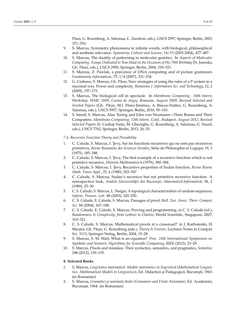Păun, G. Rozenberg, A. Salomaa, C. Zandron, eds.), LNCS 2597, Springer, Berlin, 2003, 371–376.

- 9. S. Marcus, Symmetry phenomena in infinite words, with biological, philosophical and aesthetic relevance. *Symmetry: Culture and Science*, 14/15 (2003-2004), 477–487.
- 10. S. Marcus, The duality of patterning in molecular genetics. In *Aspects of Molecular Computing. Essays Dedicated to Tom Head on the Occasion of His 70th Birthday* (N. Jonoska, Gh. Păun, eds.), LNCS 2950, Springer, Berlin, 2004, 318-321.
- 11. S. Marcus, Z. Pawlak, a precursor of DNA computing and of picture grammars. *Fundamenta Informaticae*, 75, 1/4 (2007), 331–334.
- 12. G. Ciobanu, S. Marcus, Gh. Păun, New strategies of using the rules of a P system in a maximal way. Power and complexity. *Romanian J. Information Sci. and Technology*, 12, 2 (2009), 157–173.
- 13. S. Marcus, The biological cell in spectacle. In *Membrane Computing. 10th Intern. Workshop, WMC 2009, Curtea de Arge¸s, Romania, August 2009, Revised Selected and Invited Papers* (Gh. P˘aun, M.J. Pérez-Jiménez, A. Riscos-Núñez, G. Rozenberg, A. Salomaa, eds.), LNCS 5957, Springer, Berlin, 2010, 95–103.
- 14. S. Istrail, S. Marcus, Alan Turing and John von Neumann—Their Brains and Their Computers. *Membrane Computing, 13th Intern. Conf., Budapest, August 2012, Revised Selected Papers* (E. Csuhaj-Varjú, M. Gheorghe, G. Rozenberg, A. Salomaa, G. Vaszil, eds.), LNCS 7762, Springer, Berlin, 2013, 26–35.
- *7.4. Recursive Function Theory and Provability*
- 1. C. Calude, S. Marcus, I. Tevy, Sur les fonctions récursives qui ne sont pas récursives primitives, *Revue Roumaine des Sciences Sociales*, Série de Philosophie et Logique 19, 3 (1975), 185–188.
- 2. C. Calude, S. Marcus, I. Tevy, The first example of a recursive function which is not primitive recursive, *Historia Mathematica* 6 (1979), 380–384.
- 3. C. Calude, S. Marcus, I. Tevy, Recursive properties of Sudan function, Revue Roum. *Math. Pures Appl.*, 25, 4 (1980), 503–507.
- 4. C. Calude, S. Marcus, Sudan's recursive but not primitive recursive function: A retrospective look, *Analele Universității din București, Matematică-Informatică*, 38, 2 (1989), 25–30.
- 5. C. S. Calude, S. Marcus, L. Staiger, A topological characterization of random sequences, *Inform. Process. Lett.* 88 (2003), 245–250.
- 6. C. S. Calude, E. Calude, S. Marcus, Passages of proof, *Bull. Eur. Assoc. Theor. Comput. Sci.* 84 (2004), 167–188.
- 7. C. S. Calude, E. Calude, S. Marcus, Proving and programming, in C. S. Calude (ed.), *Randomness & Complexity, from Leibniz to Chaitin*, World Scientific, Singapore, 2007, 310–321.
- 8. C. S. Calude, S. Marcus, Mathematical proofs at a crossroad? in J. Karhumäki, H. Maurer, Gh. Păun, G. Rozenberg (eds.), *Theory Is Forever*, Lectures Notes in Comput. Sci. 3113, Springer-Verlag, Berlin, 2004, 15–28.
- 9. S. Marcus, S. M. Watt, What is an equation? *Proc. 14th International Symposium on Symbolic and Numeric Algorithms for Scientific Computing*, IEEE (2012), 23–29.
- 10. S. Marcus, Proofs and mistakes: Their syntactics, semantics, and pragmatics, *Semiotica* 188 (2012), 139–155.

# **8. Selected Books**

- 1. S. Marcus, Lingvistica matematică. Modele matematice în lingvistică (Mathematical Linguis*tics. Mathematical Models in Linguistics*), Ed. Didactică și Pedagogică, București, 1963. (in Romanian)
- 2. S. Marcus, *Gramatici ¸si automate finite (Grammars and Finite Automata)*, Ed. Academiei, București, 1964. (in Romanian)